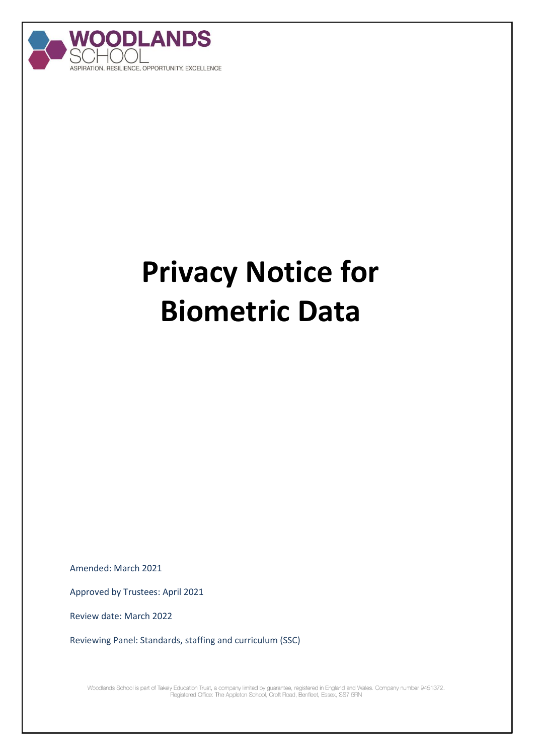

## **Privacy Notice for Biometric Data**

Amended: March 2021

Approved by Trustees: April 2021

Review date: March 2022

Reviewing Panel: Standards, staffing and curriculum (SSC)

Woodlands School is part of Takely Education Trust, a company limited by guarantee, registered in England and Wales. Company number 9451372.<br>Registered Office: The Appleton School, Croft Road, Benfleet, Essex, SS7 5RN